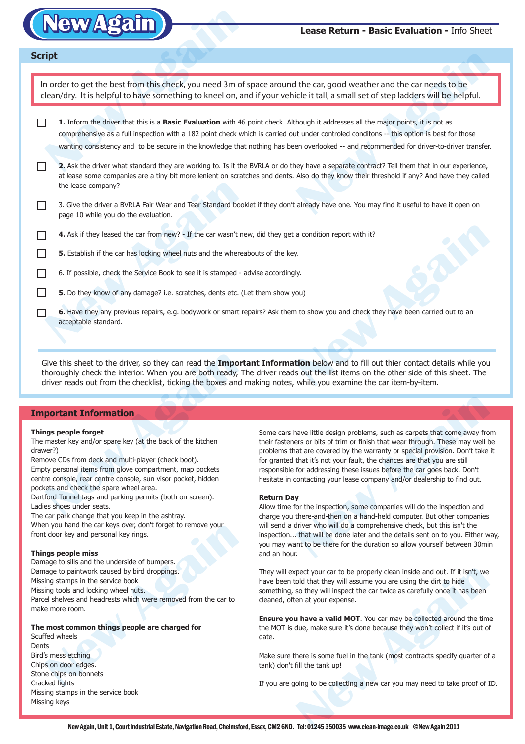

### **Lease Return - Basic Evaluation -** Info Sheet

| <b>Script</b> |                                                                                                                                                                                                                                                                                                                                                                                                                             |
|---------------|-----------------------------------------------------------------------------------------------------------------------------------------------------------------------------------------------------------------------------------------------------------------------------------------------------------------------------------------------------------------------------------------------------------------------------|
|               |                                                                                                                                                                                                                                                                                                                                                                                                                             |
|               | In order to get the best from this check, you need 3m of space around the car, good weather and the car needs to be<br>clean/dry. It is helpful to have something to kneel on, and if your vehicle it tall, a small set of step ladders will be helpful.                                                                                                                                                                    |
|               | 1. Inform the driver that this is a Basic Evaluation with 46 point check. Although it addresses all the major points, it is not as<br>comprehensive as a full inspection with a 182 point check which is carried out under controled conditons -- this option is best for those<br>wanting consistency and to be secure in the knowledge that nothing has been overlooked -- and recommended for driver-to-driver transfer. |
|               | 2. Ask the driver what standard they are working to. Is it the BVRLA or do they have a separate contract? Tell them that in our experience,<br>at lease some companies are a tiny bit more lenient on scratches and dents. Also do they know their threshold if any? And have they called<br>the lease company?                                                                                                             |
|               | 3. Give the driver a BVRLA Fair Wear and Tear Standard booklet if they don't already have one. You may find it useful to have it open on<br>page 10 while you do the evaluation.                                                                                                                                                                                                                                            |
|               | 4. Ask if they leased the car from new? - If the car wasn't new, did they get a condition report with it?                                                                                                                                                                                                                                                                                                                   |
|               | 5. Establish if the car has locking wheel nuts and the whereabouts of the key.                                                                                                                                                                                                                                                                                                                                              |
|               | 6. If possible, check the Service Book to see it is stamped - advise accordingly.                                                                                                                                                                                                                                                                                                                                           |
|               | 5. Do they know of any damage? i.e. scratches, dents etc. (Let them show you)                                                                                                                                                                                                                                                                                                                                               |
|               | 6. Have they any previous repairs, e.g. bodywork or smart repairs? Ask them to show you and check they have been carried out to an<br>acceptable standard.                                                                                                                                                                                                                                                                  |
|               |                                                                                                                                                                                                                                                                                                                                                                                                                             |

# **Important Information**

#### **Things people forget**

The master key and/or spare key (at the back of the kitchen drawer?)

Remove CDs from deck and multi-player (check boot). Empty personal items from glove compartment, map pockets centre console, rear centre console, sun visor pocket, hidden pockets and check the spare wheel area. Sive this sheet to the driver, so they can read the **Impo**<br>horoughly check the interior. When you are both ready,<br>driver reads out from the checklist, ticking the boxes and<br>**portant Information**<br>**ngs people forget**<br>master

Dartford Tunnel tags and parking permits (both on screen). Ladies shoes under seats.

The car park change that you keep in the ashtray. When you hand the car keys over, don't forget to remove your front door key and personal key rings.

#### **Things people miss**

Damage to sills and the underside of bumpers. Damage to paintwork caused by bird droppings. Missing stamps in the service book Missing tools and locking wheel nuts. Parcel shelves and headrests which were removed from the car to make more room. In you hand the car keys over, don't forget to remove your<br>
t door key and personal key rings.<br> **New Again System**<br> **New Again** the underside of bumpers.<br>
Example to paintwork caused by bird droppings.<br>
Ing stamps in the s

## **The most common things people are charged for**

Scuffed wheels **Dents** Bird's mess etching Chips on door edges. Stone chips on bonnets Cracked lights Missing stamps in the service book Missing keys

Some cars have little design problems, such as carpets that come away from their fasteners or bits of trim or finish that wear through. These may well be problems that are covered by the warranty or special provision. Don't take it for granted that it's not your fault, the chances are that you are still responsible for addressing these issues before the car goes back. Don't hesitate in contacting your lease company and/or dealership to find out.

#### **Return Day**

Allow time for the inspection, some companies will do the inspection and charge you there-and-then on a hand-held computer. But other companies will send a driver who will do a comprehensive check, but this isn't the inspection... that will be done later and the details sent on to you. Either way, you may want to be there for the duration so allow yourself between 30min and an hour. have little design problems, such as carpets that come away from<br>the orist of trim or finish that wear through. These may well b<br>at are covered by the warranty or special provision. Don't take<br>that it's not your fault, the

They will expect your car to be properly clean inside and out. If it isn't, we have been told that they will assume you are using the dirt to hide something, so they will inspect the car twice as carefully once it has been cleaned, often at your expense. pect your car to be properly clean inside and out. If it isn't, we<br>old that they will assume you are using the dirt to hide<br>so they will inspect the car twice as carefully once it has been<br>en at your expense.<br>**A have a val** 

**Ensure you have a valid MOT**. You car may be collected around the time the MOT is due, make sure it's done because they won't collect if it's out of date.

Make sure there is some fuel in the tank (most contracts specify quarter of a tank) don't fill the tank up!

If you are going to be collecting a new car you may need to take proof of ID.